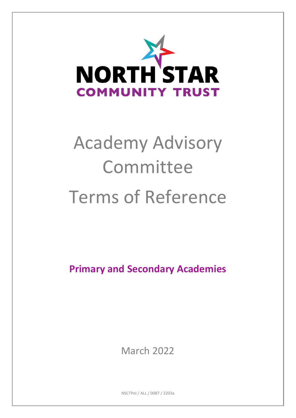

# Academy Advisory Committee Terms of Reference

**Primary and Secondary Academies**

March 2022

NSCTPol / ALL / 0087 / 2203a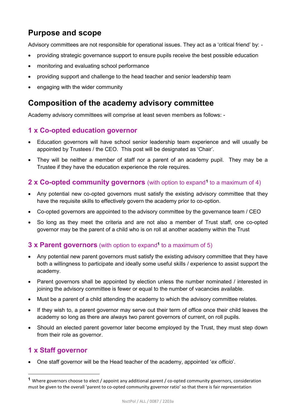# **Purpose and scope**

Advisory committees are not responsible for operational issues. They act as a 'critical friend' by: -

- providing strategic governance support to ensure pupils receive the best possible education
- monitoring and evaluating school performance
- providing support and challenge to the head teacher and senior leadership team
- engaging with the wider community

## **Composition of the academy advisory committee**

Academy advisory committees will comprise at least seven members as follows: -

## **1 x Co-opted education governor**

- Education governors will have school senior leadership team experience and will usually be appointed by Trustees / the CEO. This post will be designated as 'Chair'.
- They will be neither a member of staff nor a parent of an academy pupil. They may be a Trustee if they have the education experience the role requires.

#### **2 x Co-opted community governors** (with option to expand**[1](#page-1-0)** to a maximum of 4)

- Any potential new co-opted governors must satisfy the existing advisory committee that they have the requisite skills to effectively govern the academy prior to co-option.
- Co-opted governors are appointed to the advisory committee by the governance team / CEO
- So long as they meet the criteria and are not also a member of Trust staff, one co-opted governor may be the parent of a child who is on roll at another academy within the Trust

#### **3 x Parent governors** (with option to expand**<sup>1</sup>** to a maximum of 5)

- Any potential new parent governors must satisfy the existing advisory committee that they have both a willingness to participate and ideally some useful skills / experience to assist support the academy.
- Parent governors shall be appointed by election unless the number nominated / interested in joining the advisory committee is fewer or equal to the number of vacancies available.
- Must be a parent of a child attending the academy to which the advisory committee relates.
- If they wish to, a parent governor may serve out their term of office once their child leaves the academy so long as there are always two parent governors of current, on roll pupils.
- Should an elected parent governor later become employed by the Trust, they must step down from their role as governor.

#### **1 x Staff governor**

**.** 

• One staff governor will be the Head teacher of the academy, appointed '*ex officio*'.

<span id="page-1-0"></span>**<sup>1</sup>** Where governors choose to elect / appoint any additional parent / co-opted community governors, consideration must be given to the overall 'parent to co-opted community governor ratio' so that there is fair representation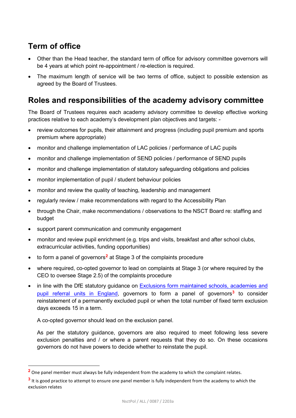# **Term of office**

- Other than the Head teacher, the standard term of office for advisory committee governors will be 4 years at which point re-appointment / re-election is required.
- The maximum length of service will be two terms of office, subject to possible extension as agreed by the Board of Trustees.

## **Roles and responsibilities of the academy advisory committee**

The Board of Trustees requires each academy advisory committee to develop effective working practices relative to each academy's development plan objectives and targets: -

- review outcomes for pupils, their attainment and progress (including pupil premium and sports premium where appropriate)
- monitor and challenge implementation of LAC policies / performance of LAC pupils
- monitor and challenge implementation of SEND policies / performance of SEND pupils
- monitor and challenge implementation of statutory safeguarding obligations and policies
- monitor implementation of pupil / student behaviour policies
- monitor and review the quality of teaching, leadership and management
- regularly review / make recommendations with regard to the Accessibility Plan
- through the Chair, make recommendations / observations to the NSCT Board re: staffing and budget
- support parent communication and community engagement
- monitor and review pupil enrichment (e.g. trips and visits, breakfast and after school clubs, extracurricular activities, funding opportunities)
- to form a panel of governors**[2](#page-2-0)** at Stage 3 of the complaints procedure
- where required, co-opted governor to lead on complaints at Stage 3 (or where required by the CEO to oversee Stage 2.5) of the complaints procedure
- in line with the DfE statutory quidance on Exclusions form maintained schools, academies and [pupil referral units in England,](https://www.gov.uk/government/publications/school-exclusion) governors to form a panel of governors**[3](#page-2-1)** to consider reinstatement of a permanently excluded pupil or when the total number of fixed term exclusion days exceeds 15 in a term.

A co-opted governor should lead on the exclusion panel.

 $\overline{a}$ 

As per the statutory guidance, governors are also required to meet following less severe exclusion penalties and / or where a parent requests that they do so. On these occasions governors do not have powers to decide whether to reinstate the pupil.

<span id="page-2-0"></span>**<sup>2</sup>** One panel member must always be fully independent from the academy to which the complaint relates.

<span id="page-2-1"></span>**<sup>3</sup>** It is good practice to attempt to ensure one panel member is fully independent from the academy to which the exclusion relates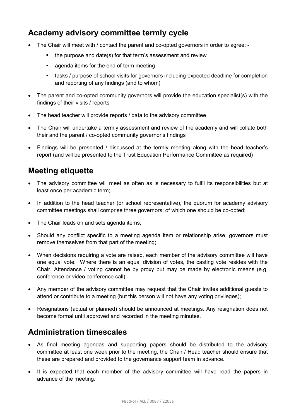# **Academy advisory committee termly cycle**

- The Chair will meet with / contact the parent and co-opted governors in order to agree:
	- the purpose and date(s) for that term's assessment and review
	- agenda items for the end of term meeting
	- tasks / purpose of school visits for governors including expected deadline for completion and reporting of any findings (and to whom)
- The parent and co-opted community governors will provide the education specialist(s) with the findings of their visits / reports
- The head teacher will provide reports / data to the advisory committee
- The Chair will undertake a termly assessment and review of the academy and will collate both their and the parent / co-opted community governor's findings
- Findings will be presented / discussed at the termly meeting along with the head teacher's report (and will be presented to the Trust Education Performance Committee as required)

## **Meeting etiquette**

- The advisory committee will meet as often as is necessary to fulfil its responsibilities but at least once per academic term;
- In addition to the head teacher (or school representative), the quorum for academy advisory committee meetings shall comprise three governors; of which one should be co-opted;
- The Chair leads on and sets agenda items:
- Should any conflict specific to a meeting agenda item or relationship arise, governors must remove themselves from that part of the meeting;
- When decisions requiring a vote are raised, each member of the advisory committee will have one equal vote. Where there is an equal division of votes, the casting vote resides with the Chair. Attendance / voting cannot be by proxy but may be made by electronic means (e.g. conference or video conference call);
- Any member of the advisory committee may request that the Chair invites additional guests to attend or contribute to a meeting (but this person will not have any voting privileges);
- Resignations (actual or planned) should be announced at meetings. Any resignation does not become formal until approved and recorded in the meeting minutes.

## **Administration timescales**

- As final meeting agendas and supporting papers should be distributed to the advisory committee at least one week prior to the meeting, the Chair / Head teacher should ensure that these are prepared and provided to the governance support team in advance.
- It is expected that each member of the advisory committee will have read the papers in advance of the meeting.